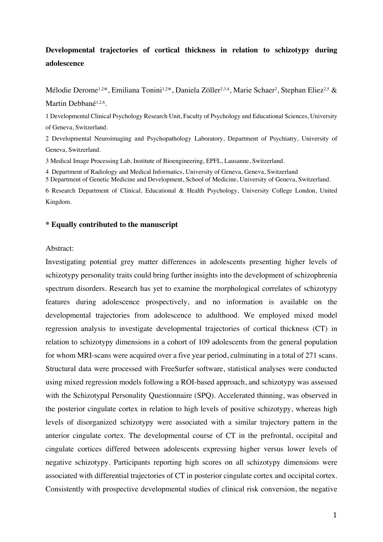# **Developmental trajectories of cortical thickness in relation to schizotypy during adolescence**

Mélodie Derome<sup>1,2\*</sup>, Emiliana Tonini<sup>1,2\*</sup>, Daniela Zöller<sup>2,3,4</sup>, Marie Schaer<sup>2</sup>, Stephan Eliez<sup>2,5</sup> & Martin Debbané<sup>1,2,6</sup>.

1 Developmental Clinical Psychology Research Unit, Faculty of Psychology and Educational Sciences, University of Geneva, Switzerland.

2 Developmental Neuroimaging and Psychopathology Laboratory, Department of Psychiatry, University of Geneva, Switzerland.

3 Medical Image Processing Lab, Institute of Bioengineering, EPFL, Lausanne, Switzerland.

4 Department of Radiology and Medical Informatics, University of Geneva, Geneva, Switzerland

5 Department of Genetic Medicine and Development, School of Medicine, University of Geneva, Switzerland.

6 Research Department of Clinical, Educational & Health Psychology, University College London, United Kingdom.

#### **\* Equally contributed to the manuscript**

#### Abstract:

Investigating potential grey matter differences in adolescents presenting higher levels of schizotypy personality traits could bring further insights into the development of schizophrenia spectrum disorders. Research has yet to examine the morphological correlates of schizotypy features during adolescence prospectively, and no information is available on the developmental trajectories from adolescence to adulthood. We employed mixed model regression analysis to investigate developmental trajectories of cortical thickness (CT) in relation to schizotypy dimensions in a cohort of 109 adolescents from the general population for whom MRI-scans were acquired over a five year period, culminating in a total of 271 scans. Structural data were processed with FreeSurfer software, statistical analyses were conducted using mixed regression models following a ROI-based approach, and schizotypy was assessed with the Schizotypal Personality Questionnaire (SPQ). Accelerated thinning, was observed in the posterior cingulate cortex in relation to high levels of positive schizotypy, whereas high levels of disorganized schizotypy were associated with a similar trajectory pattern in the anterior cingulate cortex. The developmental course of CT in the prefrontal, occipital and cingulate cortices differed between adolescents expressing higher versus lower levels of negative schizotypy. Participants reporting high scores on all schizotypy dimensions were associated with differential trajectories of CT in posterior cingulate cortex and occipital cortex. Consistently with prospective developmental studies of clinical risk conversion, the negative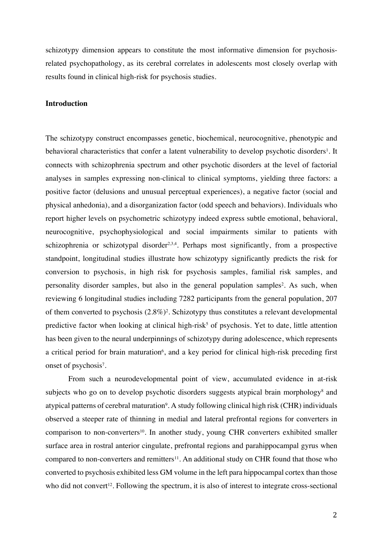schizotypy dimension appears to constitute the most informative dimension for psychosisrelated psychopathology, as its cerebral correlates in adolescents most closely overlap with results found in clinical high-risk for psychosis studies.

### **Introduction**

The schizotypy construct encompasses genetic, biochemical, neurocognitive, phenotypic and behavioral characteristics that confer a latent vulnerability to develop psychotic disorders<sup>1</sup>. It connects with schizophrenia spectrum and other psychotic disorders at the level of factorial analyses in samples expressing non-clinical to clinical symptoms, yielding three factors: a positive factor (delusions and unusual perceptual experiences), a negative factor (social and physical anhedonia), and a disorganization factor (odd speech and behaviors). Individuals who report higher levels on psychometric schizotypy indeed express subtle emotional, behavioral, neurocognitive, psychophysiological and social impairments similar to patients with schizophrenia or schizotypal disorder<sup>2,3,4</sup>. Perhaps most significantly, from a prospective standpoint, longitudinal studies illustrate how schizotypy significantly predicts the risk for conversion to psychosis, in high risk for psychosis samples, familial risk samples, and personality disorder samples, but also in the general population samples<sup>2</sup>. As such, when reviewing 6 longitudinal studies including 7282 participants from the general population, 207 of them converted to psychosis  $(2.8\%)^2$ . Schizotypy thus constitutes a relevant developmental predictive factor when looking at clinical high-risk<sup>5</sup> of psychosis. Yet to date, little attention has been given to the neural underpinnings of schizotypy during adolescence, which represents a critical period for brain maturation<sup>6</sup>, and a key period for clinical high-risk preceding first onset of psychosis<sup>7</sup>.

From such a neurodevelopmental point of view, accumulated evidence in at-risk subjects who go on to develop psychotic disorders suggests atypical brain morphology<sup>8</sup> and atypical patterns of cerebral maturation<sup>9</sup>. A study following clinical high risk (CHR) individuals observed a steeper rate of thinning in medial and lateral prefrontal regions for converters in comparison to non-converters<sup>10</sup>. In another study, young CHR converters exhibited smaller surface area in rostral anterior cingulate, prefrontal regions and parahippocampal gyrus when compared to non-converters and remitters<sup>11</sup>. An additional study on CHR found that those who converted to psychosis exhibited less GM volume in the left para hippocampal cortex than those who did not convert<sup>12</sup>. Following the spectrum, it is also of interest to integrate cross-sectional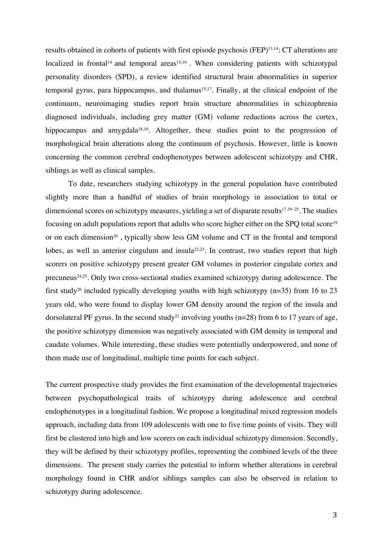results obtained in cohorts of patients with first episode psychosis (FEP)13,14: CT alterations are localized in frontal<sup>14</sup> and temporal areas<sup>15,16</sup>. When considering patients with schizotypal personality disorders (SPD), a review identified structural brain abnormalities in superior temporal gyrus, para hippocampus, and thalamus<sup>15,17</sup>. Finally, at the clinical endpoint of the continuum, neuroimaging studies report brain structure abnormalities in schizophrenia diagnosed individuals, including grey matter (GM) volume reductions across the cortex, hippocampus and amygdala<sup>18,10</sup>. Altogether, these studies point to the progression of morphological brain alterations along the continuum of psychosis. However, little is known concerning the common cerebral endophenotypes between adolescent schizotypy and CHR, siblings as well as clinical samples.

To date, researchers studying schizotypy in the general population have contributed slightly more than a handful of studies of brain morphology in association to total or dimensional scores on schizotypy measures, yielding a set of disparate results<sup>17,19–25</sup>. The studies focusing on adult populations report that adults who score higher either on the SPO total score<sup>19</sup> or on each dimension<sup>20</sup>, typically show less GM volume and CT in the frontal and temporal lobes, as well as anterior cingulum and insula<sup>22,23</sup>. In contrast, two studies report that high scorers on positive schizotypy present greater GM volumes in posterior cingulate cortex and precuneus<sup>24,25</sup>. Only two cross-sectional studies examined schizotypy during adolescence. The first study<sup>26</sup> included typically developing youths with high schizotypy ( $n=35$ ) from 16 to 23 years old, who were found to display lower GM density around the region of the insula and dorsolateral PF gyrus. In the second study<sup>21</sup> involving youths ( $n=28$ ) from 6 to 17 years of age, the positive schizotypy dimension was negatively associated with GM density in temporal and caudate volumes. While interesting, these studies were potentially underpowered, and none of them made use of longitudinal, multiple time points for each subject.

The current prospective study provides the first examination of the developmental trajectories between psychopathological traits of schizotypy during adolescence and cerebral endophenotypes in a longitudinal fashion. We propose a longitudinal mixed regression models approach, including data from 109 adolescents with one to five time points of visits. They will first be clustered into high and low scorers on each individual schizotypy dimension. Secondly, they will be defined by their schizotypy profiles, representing the combined levels of the three dimensions. The present study carries the potential to inform whether alterations in cerebral morphology found in CHR and/or siblings samples can also be observed in relation to schizotypy during adolescence.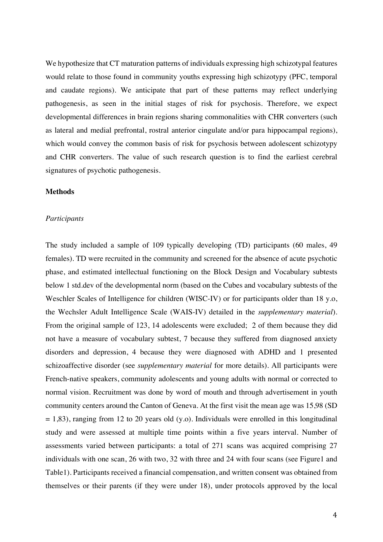We hypothesize that CT maturation patterns of individuals expressing high schizotypal features would relate to those found in community youths expressing high schizotypy (PFC, temporal and caudate regions). We anticipate that part of these patterns may reflect underlying pathogenesis, as seen in the initial stages of risk for psychosis. Therefore, we expect developmental differences in brain regions sharing commonalities with CHR converters (such as lateral and medial prefrontal, rostral anterior cingulate and/or para hippocampal regions), which would convey the common basis of risk for psychosis between adolescent schizotypy and CHR converters. The value of such research question is to find the earliest cerebral signatures of psychotic pathogenesis.

#### **Methods**

#### *Participants*

The study included a sample of 109 typically developing (TD) participants (60 males, 49 females). TD were recruited in the community and screened for the absence of acute psychotic phase, and estimated intellectual functioning on the Block Design and Vocabulary subtests below 1 std.dev of the developmental norm (based on the Cubes and vocabulary subtests of the Weschler Scales of Intelligence for children (WISC-IV) or for participants older than 18 y.o, the Wechsler Adult Intelligence Scale (WAIS-IV) detailed in the *supplementary material*). From the original sample of 123, 14 adolescents were excluded; 2 of them because they did not have a measure of vocabulary subtest, 7 because they suffered from diagnosed anxiety disorders and depression, 4 because they were diagnosed with ADHD and 1 presented schizoaffective disorder (see *supplementary material* for more details). All participants were French-native speakers, community adolescents and young adults with normal or corrected to normal vision. Recruitment was done by word of mouth and through advertisement in youth community centers around the Canton of Geneva. At the first visit the mean age was 15,98 (SD  $= 1,83$ ), ranging from 12 to 20 years old (y.o). Individuals were enrolled in this longitudinal study and were assessed at multiple time points within a five years interval. Number of assessments varied between participants: a total of 271 scans was acquired comprising 27 individuals with one scan, 26 with two, 32 with three and 24 with four scans (see Figure1 and Table1). Participants received a financial compensation, and written consent was obtained from themselves or their parents (if they were under 18), under protocols approved by the local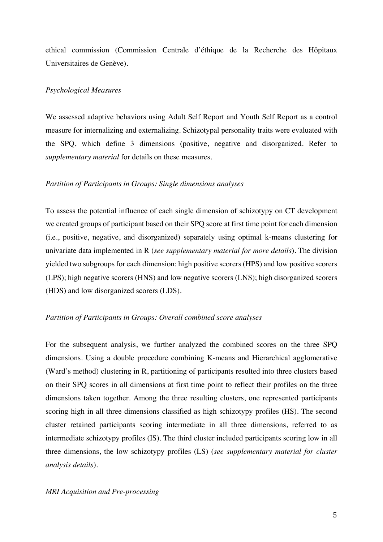ethical commission (Commission Centrale d'éthique de la Recherche des Hôpitaux Universitaires de Genève).

#### *Psychological Measures*

We assessed adaptive behaviors using Adult Self Report and Youth Self Report as a control measure for internalizing and externalizing. Schizotypal personality traits were evaluated with the SPQ, which define 3 dimensions (positive, negative and disorganized. Refer to *supplementary material* for details on these measures.

# *Partition of Participants in Groups: Single dimensions analyses*

To assess the potential influence of each single dimension of schizotypy on CT development we created groups of participant based on their SPQ score at first time point for each dimension (i.e., positive, negative, and disorganized) separately using optimal k-means clustering for univariate data implemented in R (*see supplementary material for more details*). The division yielded two subgroups for each dimension: high positive scorers (HPS) and low positive scorers (LPS); high negative scorers (HNS) and low negative scorers (LNS); high disorganized scorers (HDS) and low disorganized scorers (LDS).

#### *Partition of Participants in Groups: Overall combined score analyses*

For the subsequent analysis, we further analyzed the combined scores on the three SPQ dimensions. Using a double procedure combining K-means and Hierarchical agglomerative (Ward's method) clustering in R, partitioning of participants resulted into three clusters based on their SPQ scores in all dimensions at first time point to reflect their profiles on the three dimensions taken together. Among the three resulting clusters, one represented participants scoring high in all three dimensions classified as high schizotypy profiles (HS). The second cluster retained participants scoring intermediate in all three dimensions, referred to as intermediate schizotypy profiles (IS). The third cluster included participants scoring low in all three dimensions, the low schizotypy profiles (LS) (*see supplementary material for cluster analysis details*).

#### *MRI Acquisition and Pre-processing*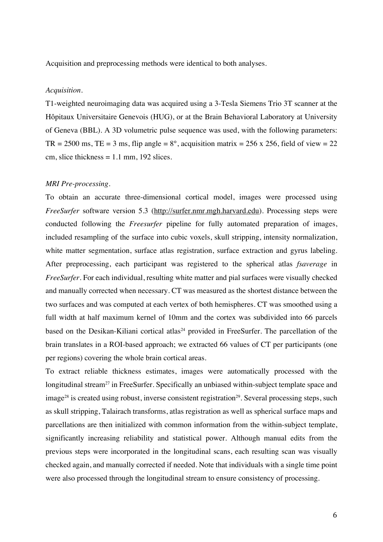Acquisition and preprocessing methods were identical to both analyses.

### *Acquisition.*

T1-weighted neuroimaging data was acquired using a 3-Tesla Siemens Trio 3T scanner at the Hôpitaux Universitaire Genevois (HUG), or at the Brain Behavioral Laboratory at University of Geneva (BBL). A 3D volumetric pulse sequence was used, with the following parameters: TR = 2500 ms, TE = 3 ms, flip angle =  $8^\circ$ , acquisition matrix = 256 x 256, field of view = 22 cm, slice thickness  $= 1.1$  mm, 192 slices.

#### *MRI Pre-processing.*

To obtain an accurate three-dimensional cortical model, images were processed using *FreeSurfer* software version 5.3 (http://surfer.nmr.mgh.harvard.edu). Processing steps were conducted following the *Freesurfer* pipeline for fully automated preparation of images, included resampling of the surface into cubic voxels, skull stripping, intensity normalization, white matter segmentation, surface atlas registration, surface extraction and gyrus labeling. After preprocessing, each participant was registered to the spherical atlas *fsaverage* in *FreeSurfer*. For each individual, resulting white matter and pial surfaces were visually checked and manually corrected when necessary. CT was measured as the shortest distance between the two surfaces and was computed at each vertex of both hemispheres. CT was smoothed using a full width at half maximum kernel of 10mm and the cortex was subdivided into 66 parcels based on the Desikan-Kiliani cortical atlas<sup>24</sup> provided in FreeSurfer. The parcellation of the brain translates in a ROI-based approach; we extracted 66 values of CT per participants (one per regions) covering the whole brain cortical areas.

To extract reliable thickness estimates, images were automatically processed with the longitudinal stream<sup>27</sup> in FreeSurfer. Specifically an unbiased within-subject template space and  $\mu$  is created using robust, inverse consistent registration<sup>29</sup>. Several processing steps, such as skull stripping, Talairach transforms, atlas registration as well as spherical surface maps and parcellations are then initialized with common information from the within-subject template, significantly increasing reliability and statistical power. Although manual edits from the previous steps were incorporated in the longitudinal scans, each resulting scan was visually checked again, and manually corrected if needed. Note that individuals with a single time point were also processed through the longitudinal stream to ensure consistency of processing.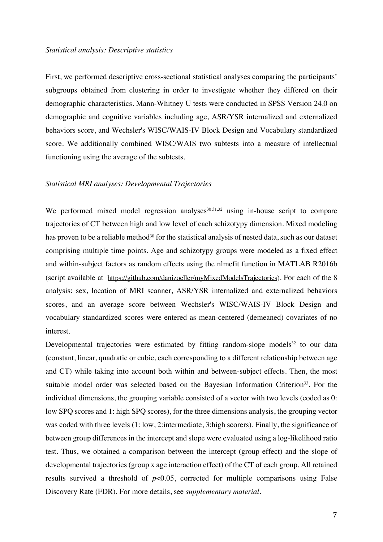#### *Statistical analysis: Descriptive statistics*

First, we performed descriptive cross-sectional statistical analyses comparing the participants' subgroups obtained from clustering in order to investigate whether they differed on their demographic characteristics. Mann-Whitney U tests were conducted in SPSS Version 24.0 on demographic and cognitive variables including age, ASR/YSR internalized and externalized behaviors score, and Wechsler's WISC/WAIS-IV Block Design and Vocabulary standardized score. We additionally combined WISC/WAIS two subtests into a measure of intellectual functioning using the average of the subtests.

#### *Statistical MRI analyses: Developmental Trajectories*

We performed mixed model regression analyses  $30,31,32$  using in-house script to compare trajectories of CT between high and low level of each schizotypy dimension. Mixed modeling has proven to be a reliable method<sup>30</sup> for the statistical analysis of nested data, such as our dataset comprising multiple time points. Age and schizotypy groups were modeled as a fixed effect and within-subject factors as random effects using the nlmefit function in MATLAB R2016b (script available at https://github.com/danizoeller/myMixedModelsTrajectories). For each of the 8 analysis: sex, location of MRI scanner, ASR/YSR internalized and externalized behaviors scores, and an average score between Wechsler's WISC/WAIS-IV Block Design and vocabulary standardized scores were entered as mean-centered (demeaned) covariates of no interest.

Developmental trajectories were estimated by fitting random-slope models $32$  to our data (constant, linear, quadratic or cubic, each corresponding to a different relationship between age and CT) while taking into account both within and between-subject effects. Then, the most suitable model order was selected based on the Bayesian Information Criterion<sup>33</sup>. For the individual dimensions, the grouping variable consisted of a vector with two levels (coded as 0: low SPQ scores and 1: high SPQ scores), for the three dimensions analysis, the grouping vector was coded with three levels (1: low, 2:intermediate, 3:high scorers). Finally, the significance of between group differences in the intercept and slope were evaluated using a log-likelihood ratio test. Thus, we obtained a comparison between the intercept (group effect) and the slope of developmental trajectories (group x age interaction effect) of the CT of each group. All retained results survived a threshold of  $p<0.05$ , corrected for multiple comparisons using False Discovery Rate (FDR). For more details, see *supplementary material*.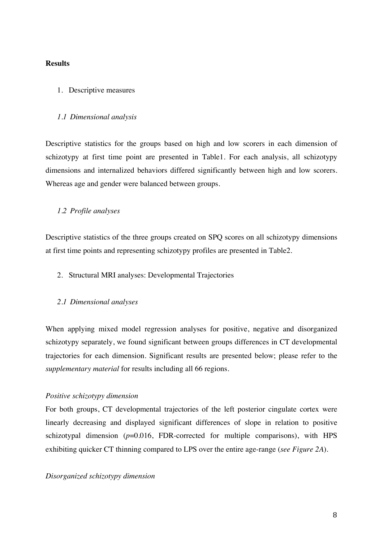# **Results**

#### 1. Descriptive measures

#### *1.1 Dimensional analysis*

Descriptive statistics for the groups based on high and low scorers in each dimension of schizotypy at first time point are presented in Table1. For each analysis, all schizotypy dimensions and internalized behaviors differed significantly between high and low scorers. Whereas age and gender were balanced between groups.

### *1.2 Profile analyses*

Descriptive statistics of the three groups created on SPQ scores on all schizotypy dimensions at first time points and representing schizotypy profiles are presented in Table2.

2. Structural MRI analyses: Developmental Trajectories

#### *2.1 Dimensional analyses*

When applying mixed model regression analyses for positive, negative and disorganized schizotypy separately, we found significant between groups differences in CT developmental trajectories for each dimension. Significant results are presented below; please refer to the *supplementary material* for results including all 66 regions.

#### *Positive schizotypy dimension*

For both groups, CT developmental trajectories of the left posterior cingulate cortex were linearly decreasing and displayed significant differences of slope in relation to positive schizotypal dimension  $(p=0.016, FDR-corrected for multiple comparisons)$ , with HPS exhibiting quicker CT thinning compared to LPS over the entire age-range (*see Figure 2A*).

# *Disorganized schizotypy dimension*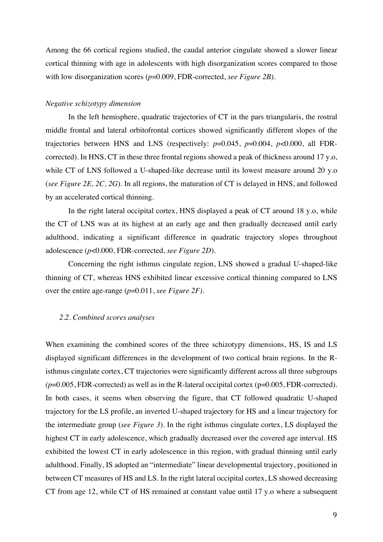Among the 66 cortical regions studied, the caudal anterior cingulate showed a slower linear cortical thinning with age in adolescents with high disorganization scores compared to those with low disorganization scores ( $p=0.009$ , FDR-corrected, *see Figure 2B*).

### *Negative schizotypy dimension*

In the left hemisphere, quadratic trajectories of CT in the pars triangularis, the rostral middle frontal and lateral orbitofrontal cortices showed significantly different slopes of the trajectories between HNS and LNS (respectively: *p*=0.045, *p*=0.004, *p*<0.000, all FDRcorrected). In HNS, CT in these three frontal regions showed a peak of thickness around 17 y.o, while CT of LNS followed a U-shaped-like decrease until its lowest measure around 20 y.o (*see Figure 2E, 2C, 2G*). In all regions, the maturation of CT is delayed in HNS, and followed by an accelerated cortical thinning.

In the right lateral occipital cortex, HNS displayed a peak of CT around 18 y.o, while the CT of LNS was at its highest at an early age and then gradually decreased until early adulthood, indicating a significant difference in quadratic trajectory slopes throughout adolescence (*p*<0.000, FDR-corrected, *see Figure 2D*).

Concerning the right isthmus cingulate region, LNS showed a gradual U-shaped-like thinning of CT, whereas HNS exhibited linear excessive cortical thinning compared to LNS over the entire age-range (*p*=0.011, *see Figure 2F).*

#### *2.2. Combined scores analyses*

When examining the combined scores of the three schizotypy dimensions, HS, IS and LS displayed significant differences in the development of two cortical brain regions. In the Risthmus cingulate cortex, CT trajectories were significantly different across all three subgroups  $(p=0.005, FDR-corrected)$  as well as in the R-lateral occipital cortex  $(p=0.005, FDR-corrected)$ . In both cases, it seems when observing the figure, that CT followed quadratic U-shaped trajectory for the LS profile, an inverted U-shaped trajectory for HS and a linear trajectory for the intermediate group (*see Figure 3*). In the right isthmus cingulate cortex, LS displayed the highest CT in early adolescence, which gradually decreased over the covered age interval. HS exhibited the lowest CT in early adolescence in this region, with gradual thinning until early adulthood. Finally, IS adopted an "intermediate" linear developmental trajectory, positioned in between CT measures of HS and LS. In the right lateral occipital cortex, LS showed decreasing CT from age 12, while CT of HS remained at constant value until 17 y.o where a subsequent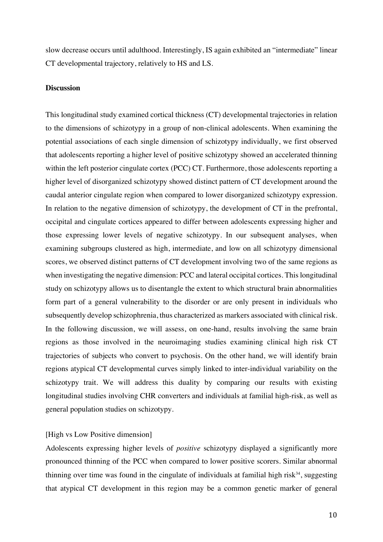slow decrease occurs until adulthood. Interestingly, IS again exhibited an "intermediate" linear CT developmental trajectory, relatively to HS and LS.

#### **Discussion**

This longitudinal study examined cortical thickness (CT) developmental trajectories in relation to the dimensions of schizotypy in a group of non-clinical adolescents. When examining the potential associations of each single dimension of schizotypy individually, we first observed that adolescents reporting a higher level of positive schizotypy showed an accelerated thinning within the left posterior cingulate cortex (PCC) CT. Furthermore, those adolescents reporting a higher level of disorganized schizotypy showed distinct pattern of CT development around the caudal anterior cingulate region when compared to lower disorganized schizotypy expression. In relation to the negative dimension of schizotypy, the development of CT in the prefrontal, occipital and cingulate cortices appeared to differ between adolescents expressing higher and those expressing lower levels of negative schizotypy. In our subsequent analyses, when examining subgroups clustered as high, intermediate, and low on all schizotypy dimensional scores, we observed distinct patterns of CT development involving two of the same regions as when investigating the negative dimension: PCC and lateral occipital cortices. This longitudinal study on schizotypy allows us to disentangle the extent to which structural brain abnormalities form part of a general vulnerability to the disorder or are only present in individuals who subsequently develop schizophrenia, thus characterized as markers associated with clinical risk. In the following discussion, we will assess, on one-hand, results involving the same brain regions as those involved in the neuroimaging studies examining clinical high risk CT trajectories of subjects who convert to psychosis. On the other hand, we will identify brain regions atypical CT developmental curves simply linked to inter-individual variability on the schizotypy trait. We will address this duality by comparing our results with existing longitudinal studies involving CHR converters and individuals at familial high-risk, as well as general population studies on schizotypy.

### [High vs Low Positive dimension]

Adolescents expressing higher levels of *positive* schizotypy displayed a significantly more pronounced thinning of the PCC when compared to lower positive scorers. Similar abnormal thinning over time was found in the cingulate of individuals at familial high risk $34$ , suggesting that atypical CT development in this region may be a common genetic marker of general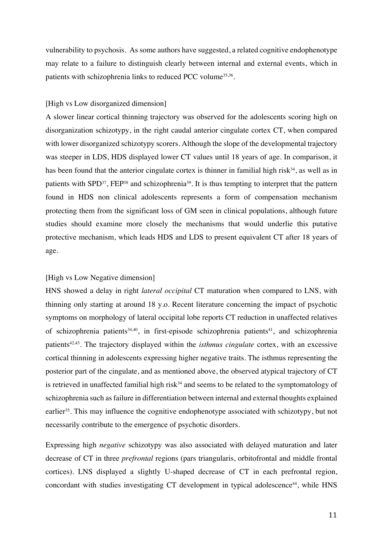vulnerability to psychosis. As some authors have suggested, a related cognitive endophenotype may relate to a failure to distinguish clearly between internal and external events, which in patients with schizophrenia links to reduced PCC volume<sup>35,36</sup>.

### [High vs Low disorganized dimension]

A slower linear cortical thinning trajectory was observed for the adolescents scoring high on disorganization schizotypy, in the right caudal anterior cingulate cortex CT, when compared with lower disorganized schizotypy scorers. Although the slope of the developmental trajectory was steeper in LDS, HDS displayed lower CT values until 18 years of age. In comparison, it has been found that the anterior cingulate cortex is thinner in familial high risk $34$ , as well as in patients with SPD<sup>37</sup>, FEP<sup>38</sup> and schizophrenia<sup>39</sup>. It is thus tempting to interpret that the pattern found in HDS non clinical adolescents represents a form of compensation mechanism protecting them from the significant loss of GM seen in clinical populations, although future studies should examine more closely the mechanisms that would underlie this putative protective mechanism, which leads HDS and LDS to present equivalent CT after 18 years of age.

# [High vs Low Negative dimension]

HNS showed a delay in right *lateral occipital* CT maturation when compared to LNS, with thinning only starting at around 18 y.o. Recent literature concerning the impact of psychotic symptoms on morphology of lateral occipital lobe reports CT reduction in unaffected relatives of schizophrenia patients<sup>34,40</sup>, in first-episode schizophrenia patients<sup>41</sup>, and schizophrenia patients42,43. The trajectory displayed within the *isthmus cingulate* cortex, with an excessive cortical thinning in adolescents expressing higher negative traits. The isthmus representing the posterior part of the cingulate, and as mentioned above, the observed atypical trajectory of CT is retrieved in unaffected familial high risk $34$  and seems to be related to the symptomatology of schizophrenia such as failure in differentiation between internal and external thoughts explained earlier<sup>35</sup>. This may influence the cognitive endophenotype associated with schizotypy, but not necessarily contribute to the emergence of psychotic disorders.

Expressing high *negative* schizotypy was also associated with delayed maturation and later decrease of CT in three *prefrontal* regions (pars triangularis, orbitofrontal and middle frontal cortices). LNS displayed a slightly U-shaped decrease of CT in each prefrontal region, concordant with studies investigating CT development in typical adolescence<sup>44</sup>, while HNS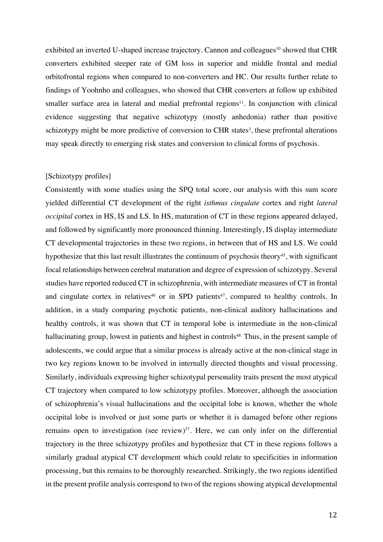exhibited an inverted U-shaped increase trajectory. Cannon and colleagues<sup>10</sup> showed that CHR converters exhibited steeper rate of GM loss in superior and middle frontal and medial orbitofrontal regions when compared to non-converters and HC. Our results further relate to findings of Yoohnho and colleagues, who showed that CHR converters at follow up exhibited smaller surface area in lateral and medial prefrontal regions $11$ . In conjunction with clinical evidence suggesting that negative schizotypy (mostly anhedonia) rather than positive schizotypy might be more predictive of conversion to CHR states<sup>3</sup>, these prefrontal alterations may speak directly to emerging risk states and conversion to clinical forms of psychosis.

### [Schizotypy profiles]

Consistently with some studies using the SPQ total score, our analysis with this sum score yielded differential CT development of the right *isthmus cingulate* cortex and right *lateral occipital* cortex in HS, IS and LS. In HS, maturation of CT in these regions appeared delayed, and followed by significantly more pronounced thinning. Interestingly, IS display intermediate CT developmental trajectories in these two regions, in between that of HS and LS. We could hypothesize that this last result illustrates the continuum of psychosis theory<sup>45</sup>, with significant focal relationships between cerebral maturation and degree of expression of schizotypy. Several studies have reported reduced CT in schizophrenia, with intermediate measures of CT in frontal and cingulate cortex in relatives<sup>46</sup> or in SPD patients<sup>47</sup>, compared to healthy controls. In addition, in a study comparing psychotic patients, non-clinical auditory hallucinations and healthy controls, it was shown that CT in temporal lobe is intermediate in the non-clinical hallucinating group, lowest in patients and highest in controls<sup>48.</sup> Thus, in the present sample of adolescents, we could argue that a similar process is already active at the non-clinical stage in two key regions known to be involved in internally directed thoughts and visual processing. Similarly, individuals expressing higher schizotypal personality traits present the most atypical CT trajectory when compared to low schizotypy profiles. Moreover, although the association of schizophrenia's visual hallucinations and the occipital lobe is known, whether the whole occipital lobe is involved or just some parts or whether it is damaged before other regions remains open to investigation (see review) $37$ . Here, we can only infer on the differential trajectory in the three schizotypy profiles and hypothesize that CT in these regions follows a similarly gradual atypical CT development which could relate to specificities in information processing, but this remains to be thoroughly researched. Strikingly, the two regions identified in the present profile analysis correspond to two of the regions showing atypical developmental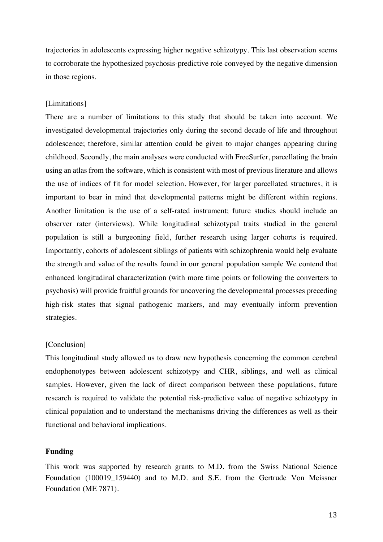trajectories in adolescents expressing higher negative schizotypy. This last observation seems to corroborate the hypothesized psychosis-predictive role conveyed by the negative dimension in those regions.

### [Limitations]

There are a number of limitations to this study that should be taken into account. We investigated developmental trajectories only during the second decade of life and throughout adolescence; therefore, similar attention could be given to major changes appearing during childhood. Secondly, the main analyses were conducted with FreeSurfer, parcellating the brain using an atlas from the software, which is consistent with most of previous literature and allows the use of indices of fit for model selection. However, for larger parcellated structures, it is important to bear in mind that developmental patterns might be different within regions. Another limitation is the use of a self-rated instrument; future studies should include an observer rater (interviews). While longitudinal schizotypal traits studied in the general population is still a burgeoning field, further research using larger cohorts is required. Importantly, cohorts of adolescent siblings of patients with schizophrenia would help evaluate the strength and value of the results found in our general population sample We contend that enhanced longitudinal characterization (with more time points or following the converters to psychosis) will provide fruitful grounds for uncovering the developmental processes preceding high-risk states that signal pathogenic markers, and may eventually inform prevention strategies.

#### [Conclusion]

This longitudinal study allowed us to draw new hypothesis concerning the common cerebral endophenotypes between adolescent schizotypy and CHR, siblings, and well as clinical samples. However, given the lack of direct comparison between these populations, future research is required to validate the potential risk-predictive value of negative schizotypy in clinical population and to understand the mechanisms driving the differences as well as their functional and behavioral implications.

#### **Funding**

This work was supported by research grants to M.D. from the Swiss National Science Foundation (100019\_159440) and to M.D. and S.E. from the Gertrude Von Meissner Foundation (ME 7871).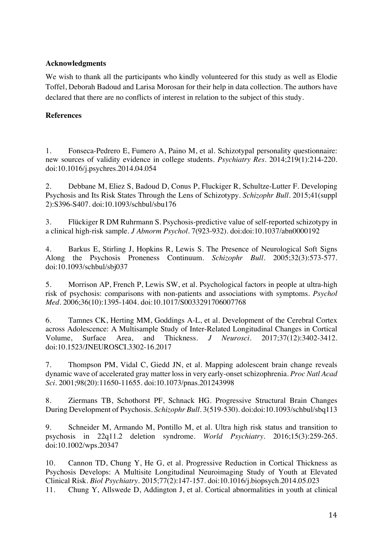# **Acknowledgments**

We wish to thank all the participants who kindly volunteered for this study as well as Elodie Toffel, Deborah Badoud and Larisa Morosan for their help in data collection. The authors have declared that there are no conflicts of interest in relation to the subject of this study.

# **References**

1. Fonseca-Pedrero E, Fumero A, Paino M, et al. Schizotypal personality questionnaire: new sources of validity evidence in college students. *Psychiatry Res*. 2014;219(1):214-220. doi:10.1016/j.psychres.2014.04.054

2. Debbane M, Eliez S, Badoud D, Conus P, Fluckiger R, Schultze-Lutter F. Developing Psychosis and Its Risk States Through the Lens of Schizotypy. *Schizophr Bull*. 2015;41(suppl 2):S396-S407. doi:10.1093/schbul/sbu176

3. Flückiger R DM Ruhrmann S. Psychosis-predictive value of self-reported schizotypy in a clinical high-risk sample. *J Abnorm Psychol*. 7(923-932). doi:doi:10.1037/abn0000192

4. Barkus E, Stirling J, Hopkins R, Lewis S. The Presence of Neurological Soft Signs Along the Psychosis Proneness Continuum. *Schizophr Bull*. 2005;32(3):573-577. doi:10.1093/schbul/sbj037

5. Morrison AP, French P, Lewis SW, et al. Psychological factors in people at ultra-high risk of psychosis: comparisons with non-patients and associations with symptoms. *Psychol Med*. 2006;36(10):1395-1404. doi:10.1017/S0033291706007768

6. Tamnes CK, Herting MM, Goddings A-L, et al. Development of the Cerebral Cortex across Adolescence: A Multisample Study of Inter-Related Longitudinal Changes in Cortical Volume, Surface Area, and Thickness. *J Neurosci*. 2017;37(12):3402-3412. doi:10.1523/JNEUROSCI.3302-16.2017

7. Thompson PM, Vidal C, Giedd JN, et al. Mapping adolescent brain change reveals dynamic wave of accelerated gray matter loss in very early-onset schizophrenia. *Proc Natl Acad Sci*. 2001;98(20):11650-11655. doi:10.1073/pnas.201243998

8. Ziermans TB, Schothorst PF, Schnack HG. Progressive Structural Brain Changes During Development of Psychosis. *Schizophr Bull*. 3(519-530). doi:doi:10.1093/schbul/sbq113

9. Schneider M, Armando M, Pontillo M, et al. Ultra high risk status and transition to psychosis in 22q11.2 deletion syndrome. *World Psychiatry*. 2016;15(3):259-265. doi:10.1002/wps.20347

10. Cannon TD, Chung Y, He G, et al. Progressive Reduction in Cortical Thickness as Psychosis Develops: A Multisite Longitudinal Neuroimaging Study of Youth at Elevated Clinical Risk. *Biol Psychiatry*. 2015;77(2):147-157. doi:10.1016/j.biopsych.2014.05.023 11. Chung Y, Allswede D, Addington J, et al. Cortical abnormalities in youth at clinical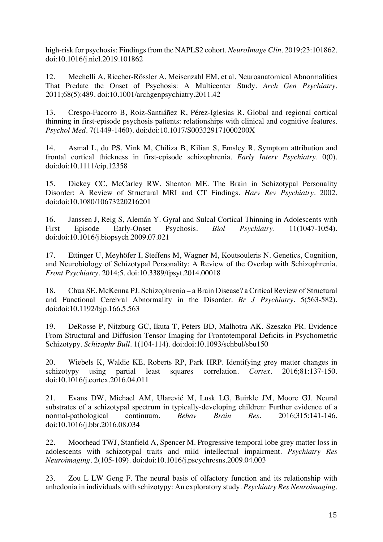high-risk for psychosis: Findings from the NAPLS2 cohort. *NeuroImage Clin*. 2019;23:101862. doi:10.1016/j.nicl.2019.101862

12. Mechelli A, Riecher-Rössler A, Meisenzahl EM, et al. Neuroanatomical Abnormalities That Predate the Onset of Psychosis: A Multicenter Study. *Arch Gen Psychiatry*. 2011;68(5):489. doi:10.1001/archgenpsychiatry.2011.42

13. Crespo-Facorro B, Roiz-Santiáñez R, Pérez-Iglesias R. Global and regional cortical thinning in first-episode psychosis patients: relationships with clinical and cognitive features. *Psychol Med*. 7(1449-1460). doi:doi:10.1017/S003329171000200X

14. Asmal L, du PS, Vink M, Chiliza B, Kilian S, Emsley R. Symptom attribution and frontal cortical thickness in first-episode schizophrenia. *Early Interv Psychiatry*. 0(0). doi:doi:10.1111/eip.12358

15. Dickey CC, McCarley RW, Shenton ME. The Brain in Schizotypal Personality Disorder: A Review of Structural MRI and CT Findings. *Harv Rev Psychiatry*. 2002. doi:doi:10.1080/10673220216201

16. Janssen J, Reig S, Alemán Y. Gyral and Sulcal Cortical Thinning in Adolescents with First Episode Early-Onset Psychosis. *Biol Psychiatry*. 11(1047-1054). doi:doi:10.1016/j.biopsych.2009.07.021

17. Ettinger U, Meyhöfer I, Steffens M, Wagner M, Koutsouleris N. Genetics, Cognition, and Neurobiology of Schizotypal Personality: A Review of the Overlap with Schizophrenia. *Front Psychiatry*. 2014;5. doi:10.3389/fpsyt.2014.00018

18. Chua SE. McKenna PJ. Schizophrenia – a Brain Disease? a Critical Review of Structural and Functional Cerebral Abnormality in the Disorder. *Br J Psychiatry*. 5(563-582). doi:doi:10.1192/bjp.166.5.563

19. DeRosse P, Nitzburg GC, Ikuta T, Peters BD, Malhotra AK. Szeszko PR. Evidence From Structural and Diffusion Tensor Imaging for Frontotemporal Deficits in Psychometric Schizotypy. *Schizophr Bull*. 1(104-114). doi:doi:10.1093/schbul/sbu150

20. Wiebels K, Waldie KE, Roberts RP, Park HRP. Identifying grey matter changes in schizotypy using partial least squares correlation. *Cortex*. 2016;81:137-150. doi:10.1016/j.cortex.2016.04.011

21. Evans DW, Michael AM, Ularević M, Lusk LG, Buirkle JM, Moore GJ. Neural substrates of a schizotypal spectrum in typically-developing children: Further evidence of a normal-pathological continuum. *Behav Brain Res*. 2016;315:141-146. doi:10.1016/j.bbr.2016.08.034

22. Moorhead TWJ, Stanfield A, Spencer M. Progressive temporal lobe grey matter loss in adolescents with schizotypal traits and mild intellectual impairment. *Psychiatry Res Neuroimaging*. 2(105-109). doi:doi:10.1016/j.pscychresns.2009.04.003

23. Zou L LW Geng F. The neural basis of olfactory function and its relationship with anhedonia in individuals with schizotypy: An exploratory study. *Psychiatry Res Neuroimaging*.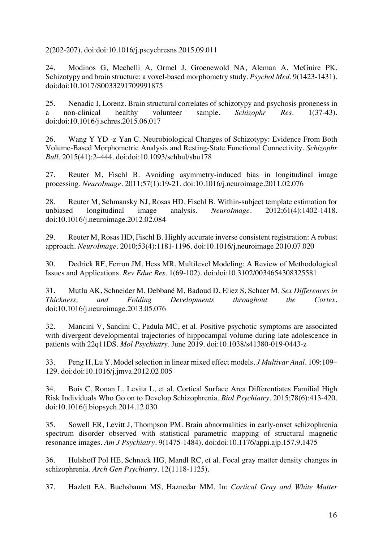2(202-207). doi:doi:10.1016/j.pscychresns.2015.09.011

24. Modinos G, Mechelli A, Ormel J, Groenewold NA, Aleman A, McGuire PK. Schizotypy and brain structure: a voxel-based morphometry study. *Psychol Med*. 9(1423-1431). doi:doi:10.1017/S0033291709991875

25. Nenadic I, Lorenz. Brain structural correlates of schizotypy and psychosis proneness in a non-clinical healthy volunteer sample. *Schizophr Res*. 1(37-43). doi:doi:10.1016/j.schres.2015.06.017

26. Wang Y YD -z Yan C. Neurobiological Changes of Schizotypy: Evidence From Both Volume-Based Morphometric Analysis and Resting-State Functional Connectivity. *Schizophr Bull*. 2015(41):2–444. doi:doi:10.1093/schbul/sbu178

27. Reuter M, Fischl B. Avoiding asymmetry-induced bias in longitudinal image processing. *NeuroImage*. 2011;57(1):19-21. doi:10.1016/j.neuroimage.2011.02.076

28. Reuter M, Schmansky NJ, Rosas HD, Fischl B. Within-subject template estimation for unbiased longitudinal image analysis. *NeuroImage*. 2012;61(4):1402-1418. doi:10.1016/j.neuroimage.2012.02.084

29. Reuter M, Rosas HD, Fischl B. Highly accurate inverse consistent registration: A robust approach. *NeuroImage*. 2010;53(4):1181-1196. doi:10.1016/j.neuroimage.2010.07.020

30. Dedrick RF, Ferron JM, Hess MR. Multilevel Modeling: A Review of Methodological Issues and Applications. *Rev Educ Res*. 1(69-102). doi:doi:10.3102/0034654308325581

31. Mutlu AK, Schneider M, Debbané M, Badoud D, Eliez S, Schaer M. *Sex Differences in Thickness, and Folding Developments throughout the Cortex*. doi:10.1016/j.neuroimage.2013.05.076

32. Mancini V, Sandini C, Padula MC, et al. Positive psychotic symptoms are associated with divergent developmental trajectories of hippocampal volume during late adolescence in patients with 22q11DS. *Mol Psychiatry*. June 2019. doi:10.1038/s41380-019-0443-z

33. Peng H, Lu Y. Model selection in linear mixed effect models. *J Multivar Anal*. 109:109– 129. doi:doi:10.1016/j.jmva.2012.02.005

34. Bois C, Ronan L, Levita L, et al. Cortical Surface Area Differentiates Familial High Risk Individuals Who Go on to Develop Schizophrenia. *Biol Psychiatry*. 2015;78(6):413-420. doi:10.1016/j.biopsych.2014.12.030

35. Sowell ER, Levitt J, Thompson PM. Brain abnormalities in early-onset schizophrenia spectrum disorder observed with statistical parametric mapping of structural magnetic resonance images. *Am J Psychiatry*. 9(1475-1484). doi:doi:10.1176/appi.ajp.157.9.1475

36. Hulshoff Pol HE, Schnack HG, Mandl RC, et al. Focal gray matter density changes in schizophrenia. *Arch Gen Psychiatry*. 12(1118-1125).

37. Hazlett EA, Buchsbaum MS, Haznedar MM. In: *Cortical Gray and White Matter*